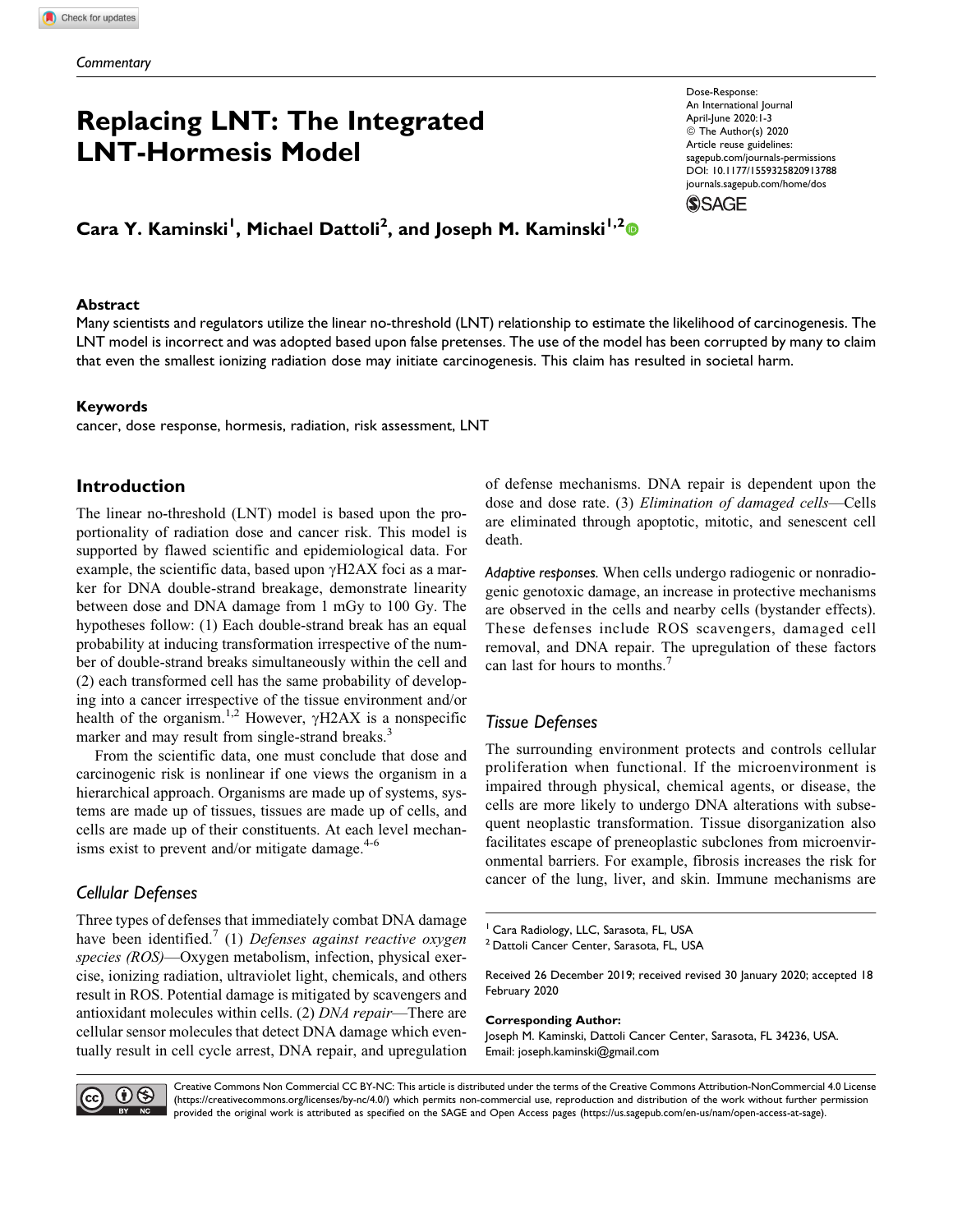# Replacing LNT: The Integrated LNT-Hormesis Model

Cara Y. Kaminski<sup>1</sup>, Michael Dattoli<sup>2</sup>, and Joseph M. Kaminski<sup>1,2</sup>

#### **Abstract**

Many scientists and regulators utilize the linear no-threshold (LNT) relationship to estimate the likelihood of carcinogenesis. The LNT model is incorrect and was adopted based upon false pretenses. The use of the model has been corrupted by many to claim that even the smallest ionizing radiation dose may initiate carcinogenesis. This claim has resulted in societal harm.

#### Keywords

cancer, dose response, hormesis, radiation, risk assessment, LNT

# Introduction

The linear no-threshold (LNT) model is based upon the proportionality of radiation dose and cancer risk. This model is supported by flawed scientific and epidemiological data. For example, the scientific data, based upon  $\gamma$ H2AX foci as a marker for DNA double-strand breakage, demonstrate linearity between dose and DNA damage from 1 mGy to 100 Gy. The hypotheses follow: (1) Each double-strand break has an equal probability at inducing transformation irrespective of the number of double-strand breaks simultaneously within the cell and (2) each transformed cell has the same probability of developing into a cancer irrespective of the tissue environment and/or health of the organism.<sup>1,2</sup> However,  $\gamma$ H2AX is a nonspecific marker and may result from single-strand breaks.<sup>3</sup>

From the scientific data, one must conclude that dose and carcinogenic risk is nonlinear if one views the organism in a hierarchical approach. Organisms are made up of systems, systems are made up of tissues, tissues are made up of cells, and cells are made up of their constituents. At each level mechanisms exist to prevent and/or mitigate damage. $4-6$ 

# Cellular Defenses

Three types of defenses that immediately combat DNA damage have been identified.<sup> $7$ </sup> (1) Defenses against reactive oxygen species (ROS)—Oxygen metabolism, infection, physical exercise, ionizing radiation, ultraviolet light, chemicals, and others result in ROS. Potential damage is mitigated by scavengers and antioxidant molecules within cells. (2) DNA repair—There are cellular sensor molecules that detect DNA damage which eventually result in cell cycle arrest, DNA repair, and upregulation of defense mechanisms. DNA repair is dependent upon the dose and dose rate. (3) Elimination of damaged cells-Cells are eliminated through apoptotic, mitotic, and senescent cell death.

Adaptive responses. When cells undergo radiogenic or nonradiogenic genotoxic damage, an increase in protective mechanisms are observed in the cells and nearby cells (bystander effects). These defenses include ROS scavengers, damaged cell removal, and DNA repair. The upregulation of these factors can last for hours to months.7

## Tissue Defenses

The surrounding environment protects and controls cellular proliferation when functional. If the microenvironment is impaired through physical, chemical agents, or disease, the cells are more likely to undergo DNA alterations with subsequent neoplastic transformation. Tissue disorganization also facilitates escape of preneoplastic subclones from microenvironmental barriers. For example, fibrosis increases the risk for cancer of the lung, liver, and skin. Immune mechanisms are

<sup>2</sup> Dattoli Cancer Center, Sarasota, FL, USA

Received 26 December 2019; received revised 30 January 2020; accepted 18 February 2020

#### Corresponding Author:

Joseph M. Kaminski, Dattoli Cancer Center, Sarasota, FL 34236, USA. Email: [joseph.kaminski@gmail.com](mailto:joseph.kaminski@gmail.com)



Creative Commons Non Commercial CC BY-NC: This article is distributed under the terms of the Creative Commons Attribution-NonCommercial 4.0 License (<https://creativecommons.org/licenses/by-nc/4.0/>) which permits non-commercial use, reproduction and distribution of the work without further permission provided the original work is attributed as specified on the SAGE and Open Access pages [\(https://us.sagepub.com/en-us/nam/open-access-at-sage\)](https://us.sagepub.com/en-us/nam/open-access-at-sage).

Dose-Response: An International Journal April-June 2020:1-3 © The Author(s) 2020 Article reuse guidelines: [sagepub.com/journals-permissions](https://sagepub.com/journals-permissions) [DOI: 10.1177/1559325820913788](https://doi.org/10.1177/1559325820913788) [journals.sagepub.com/home/dos](http://journals.sagepub.com/home/dos) **SSAGE** 

<sup>&</sup>lt;sup>1</sup> Cara Radiology, LLC, Sarasota, FL, USA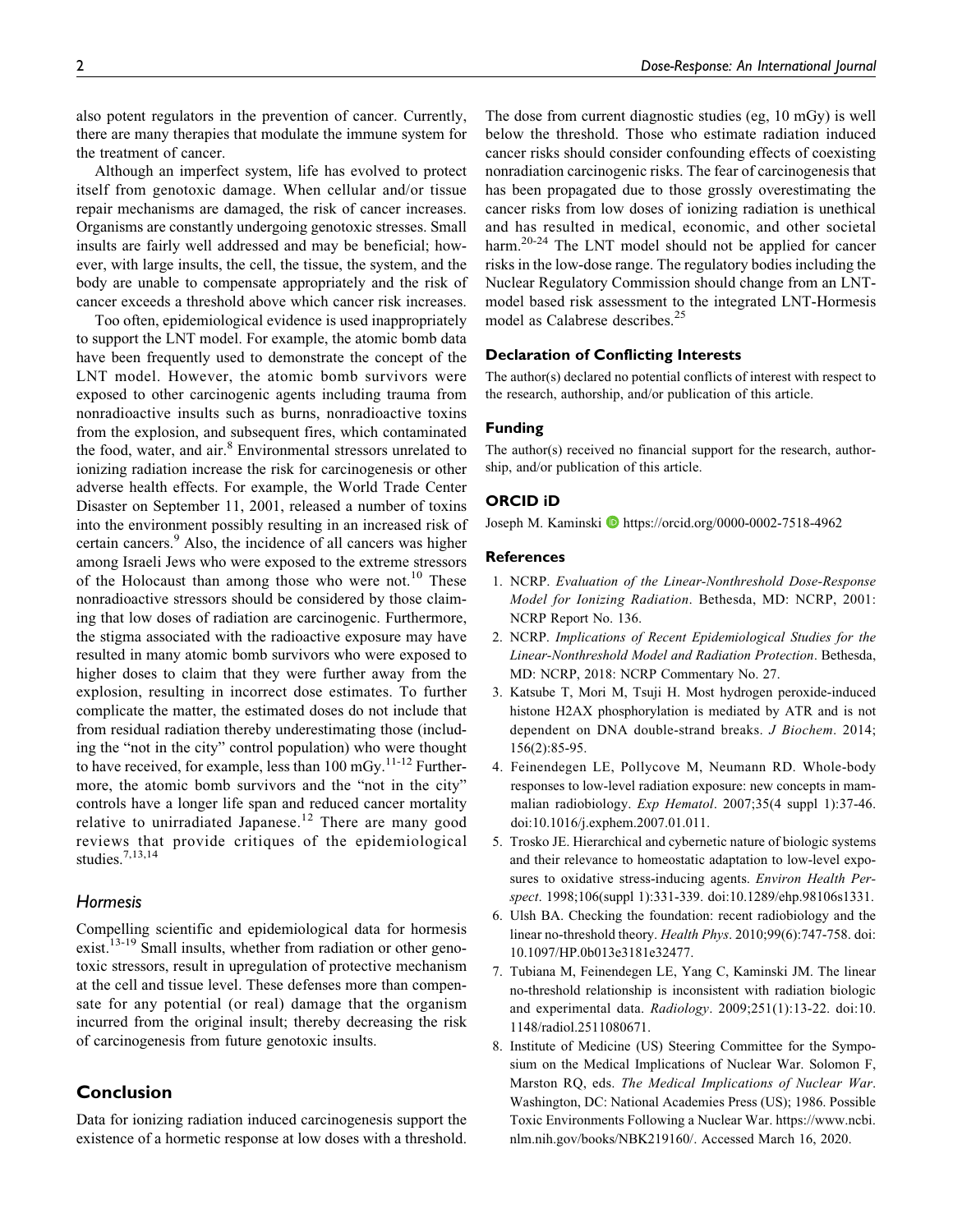also potent regulators in the prevention of cancer. Currently, there are many therapies that modulate the immune system for the treatment of cancer.

Although an imperfect system, life has evolved to protect itself from genotoxic damage. When cellular and/or tissue repair mechanisms are damaged, the risk of cancer increases. Organisms are constantly undergoing genotoxic stresses. Small insults are fairly well addressed and may be beneficial; however, with large insults, the cell, the tissue, the system, and the body are unable to compensate appropriately and the risk of cancer exceeds a threshold above which cancer risk increases.

Too often, epidemiological evidence is used inappropriately to support the LNT model. For example, the atomic bomb data have been frequently used to demonstrate the concept of the LNT model. However, the atomic bomb survivors were exposed to other carcinogenic agents including trauma from nonradioactive insults such as burns, nonradioactive toxins from the explosion, and subsequent fires, which contaminated the food, water, and air.<sup>8</sup> Environmental stressors unrelated to ionizing radiation increase the risk for carcinogenesis or other adverse health effects. For example, the World Trade Center Disaster on September 11, 2001, released a number of toxins into the environment possibly resulting in an increased risk of certain cancers.<sup>9</sup> Also, the incidence of all cancers was higher among Israeli Jews who were exposed to the extreme stressors of the Holocaust than among those who were not.<sup>10</sup> These nonradioactive stressors should be considered by those claiming that low doses of radiation are carcinogenic. Furthermore, the stigma associated with the radioactive exposure may have resulted in many atomic bomb survivors who were exposed to higher doses to claim that they were further away from the explosion, resulting in incorrect dose estimates. To further complicate the matter, the estimated doses do not include that from residual radiation thereby underestimating those (including the "not in the city" control population) who were thought to have received, for example, less than  $100 \text{ mGy}$ .<sup>11-12</sup> Furthermore, the atomic bomb survivors and the "not in the city" controls have a longer life span and reduced cancer mortality relative to unirradiated Japanese.<sup>12</sup> There are many good reviews that provide critiques of the epidemiological studies.7,13,14

### Hormesis

Compelling scientific and epidemiological data for hormesis  $exist.<sup>13-19</sup>$  Small insults, whether from radiation or other genotoxic stressors, result in upregulation of protective mechanism at the cell and tissue level. These defenses more than compensate for any potential (or real) damage that the organism incurred from the original insult; thereby decreasing the risk of carcinogenesis from future genotoxic insults.

## Conclusion

Data for ionizing radiation induced carcinogenesis support the existence of a hormetic response at low doses with a threshold.

The dose from current diagnostic studies (eg, 10 mGy) is well below the threshold. Those who estimate radiation induced cancer risks should consider confounding effects of coexisting nonradiation carcinogenic risks. The fear of carcinogenesis that has been propagated due to those grossly overestimating the cancer risks from low doses of ionizing radiation is unethical and has resulted in medical, economic, and other societal harm.<sup>20-24</sup> The LNT model should not be applied for cancer risks in the low-dose range. The regulatory bodies including the Nuclear Regulatory Commission should change from an LNTmodel based risk assessment to the integrated LNT-Hormesis model as Calabrese describes.<sup>25</sup>

### Declaration of Conflicting Interests

The author(s) declared no potential conflicts of interest with respect to the research, authorship, and/or publication of this article.

#### Funding

The author(s) received no financial support for the research, authorship, and/or publication of this article.

#### ORCID iD

Joseph M. Kaminski D <https://orcid.org/0000-0002-7518-4962>

#### References

- 1. NCRP. Evaluation of the Linear-Nonthreshold Dose-Response Model for Ionizing Radiation. Bethesda, MD: NCRP, 2001: NCRP Report No. 136.
- 2. NCRP. Implications of Recent Epidemiological Studies for the Linear-Nonthreshold Model and Radiation Protection. Bethesda, MD: NCRP, 2018: NCRP Commentary No. 27.
- 3. Katsube T, Mori M, Tsuji H. Most hydrogen peroxide-induced histone H2AX phosphorylation is mediated by ATR and is not dependent on DNA double-strand breaks. J Biochem. 2014; 156(2):85-95.
- 4. Feinendegen LE, Pollycove M, Neumann RD. Whole-body responses to low-level radiation exposure: new concepts in mammalian radiobiology. Exp Hematol. 2007;35(4 suppl 1):37-46. doi:10.1016/j.exphem.2007.01.011.
- 5. Trosko JE. Hierarchical and cybernetic nature of biologic systems and their relevance to homeostatic adaptation to low-level exposures to oxidative stress-inducing agents. Environ Health Perspect. 1998;106(suppl 1):331-339. doi:10.1289/ehp.98106s1331.
- 6. Ulsh BA. Checking the foundation: recent radiobiology and the linear no-threshold theory. Health Phys. 2010;99(6):747-758. doi: 10.1097/HP.0b013e3181e32477.
- 7. Tubiana M, Feinendegen LE, Yang C, Kaminski JM. The linear no-threshold relationship is inconsistent with radiation biologic and experimental data. Radiology. 2009;251(1):13-22. doi:10. 1148/radiol.2511080671.
- 8. Institute of Medicine (US) Steering Committee for the Symposium on the Medical Implications of Nuclear War. Solomon F, Marston RQ, eds. The Medical Implications of Nuclear War. Washington, DC: National Academies Press (US); 1986. Possible Toxic Environments Following a Nuclear War. [https://www.ncbi.](https://www.ncbi.nlm.nih.gov/books/NBK219160/) [nlm.nih.gov/books/NBK219160/.](https://www.ncbi.nlm.nih.gov/books/NBK219160/) Accessed March 16, 2020.